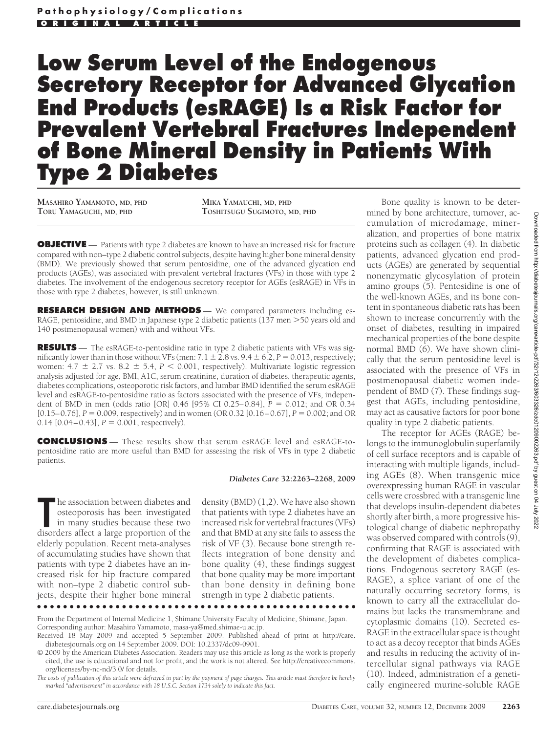# **Low Serum Level of the Endogenous Secretory Receptor for Advanced Glycation End Products (esRAGE) Is a Risk Factor for Prevalent Vertebral Fractures Independent of Bone Mineral Density in Patients With Type 2 Diabetes**

**MASAHIRO YAMAMOTO, MD, PHD TORU YAMAGUCHI, MD, PHD**

**MIKA YAMAUCHI, MD, PHD TOSHITSUGU SUGIMOTO, MD, PHD**

**OBJECTIVE** — Patients with type 2 diabetes are known to have an increased risk for fracture compared with non–type 2 diabetic control subjects, despite having higher bone mineral density (BMD). We previously showed that serum pentosidine, one of the advanced glycation end products (AGEs), was associated with prevalent vertebral fractures (VFs) in those with type 2 diabetes. The involvement of the endogenous secretory receptor for AGEs (esRAGE) in VFs in those with type 2 diabetes, however, is still unknown.

**RESEARCH DESIGN AND METHODS** — We compared parameters including es-RAGE, pentosidine, and BMD in Japanese type 2 diabetic patients (137 men >50 years old and 140 postmenopausal women) with and without VFs.

**RESULTS** — The esRAGE-to-pentosidine ratio in type 2 diabetic patients with VFs was significantly lower than in those without VFs (men:  $7.1 \pm 2.8$  vs.  $9.4 \pm 6.2$ ,  $P = 0.013$ , respectively; women:  $4.7 \pm 2.7$  vs.  $8.2 \pm 5.4$ ,  $P \le 0.001$ , respectively). Multivariate logistic regression analysis adjusted for age, BMI, A1C, serum creatinine, duration of diabetes, therapeutic agents, diabetes complications, osteoporotic risk factors, and lumbar BMD identified the serum esRAGE level and esRAGE-to-pentosidine ratio as factors associated with the presence of VFs, independent of BMD in men (odds ratio [OR]  $0.46$  [95% CI 0.25–0.84],  $P = 0.012$ ; and OR 0.34  $[0.15-0.76]$ ,  $P = 0.009$ , respectively) and in women (OR 0.32  $[0.16-0.67]$ ,  $P = 0.002$ ; and OR 0.14  $[0.04 - 0.43]$ ,  $P = 0.001$ , respectively).

**CONCLUSIONS** — These results show that serum esRAGE level and esRAGE-topentosidine ratio are more useful than BMD for assessing the risk of VFs in type 2 diabetic patients.

#### *Diabetes Care* **32:2263–2268, 2009**

The association between diabetes and osteoporosis has been investigated in many studies because these two disorders affect a large proportion of the he association between diabetes and osteoporosis has been investigated in many studies because these two elderly population. Recent meta-analyses of accumulating studies have shown that patients with type 2 diabetes have an increased risk for hip fracture compared with non–type 2 diabetic control subjects, despite their higher bone mineral

density (BMD) (1,2). We have also shown that patients with type 2 diabetes have an increased risk for vertebral fractures (VFs) and that BMD at any site fails to assess the risk of VF (3). Because bone strength reflects integration of bone density and bone quality (4), these findings suggest that bone quality may be more important than bone density in defining bone strength in type 2 diabetic patients.

●●●●●●●●●●●●●●●●●●●●●●●●●●●●●●●●●●●●●●●●●●●●●●●●●

From the Department of Internal Medicine 1, Shimane University Faculty of Medicine, Shimane, Japan. Corresponding author: Masahiro Yamamoto, masa-ya@med.shimae-u.ac.jp.

Bone quality is known to be determined by bone architecture, turnover, accumulation of microdamage, mineralization, and properties of bone matrix proteins such as collagen (4). In diabetic patients, advanced glycation end products (AGEs) are generated by sequential nonenzymatic glycosylation of protein amino groups (5). Pentosidine is one of the well-known AGEs, and its bone content in spontaneous diabetic rats has been shown to increase concurrently with the onset of diabetes, resulting in impaired mechanical properties of the bone despite normal BMD (6). We have shown clinically that the serum pentosidine level is associated with the presence of VFs in postmenopausal diabetic women independent of BMD (7). These findings suggest that AGEs, including pentosidine, may act as causative factors for poor bone quality in type 2 diabetic patients.

The receptor for AGEs (RAGE) belongs to the immunoglobulin superfamily of cell surface receptors and is capable of interacting with multiple ligands, including AGEs (8). When transgenic mice overexpressing human RAGE in vascular cells were crossbred with a transgenic line that develops insulin-dependent diabetes shortly after birth, a more progressive histological change of diabetic nephropathy was observed compared with controls (9), confirming that RAGE is associated with the development of diabetes complications. Endogenous secretory RAGE (es-RAGE), a splice variant of one of the naturally occurring secretory forms, is known to carry all the extracellular domains but lacks the transmembrane and cytoplasmic domains (10). Secreted es-RAGE in the extracellular space is thought to act as a decoy receptor that binds AGEs and results in reducing the activity of intercellular signal pathways via RAGE (10). Indeed, administration of a genetically engineered murine-soluble RAGE

Received 18 May 2009 and accepted 5 September 2009. Published ahead of print at http://care. diabetesjournals.org on 14 September 2009. DOI: 10.2337/dc09-0901.

<sup>© 2009</sup> by the American Diabetes Association. Readers may use this article as long as the work is properly cited, the use is educational and not for profit, and the work is not altered. See http://creativecommons. org/licenses/by-nc-nd/3.0/ for details.

*The costs of publication of this article were defrayed in part by the payment of page charges. This article must therefore be hereby marked "advertisement" in accordance with 18 U.S.C. Section 1734 solely to indicate this fact.*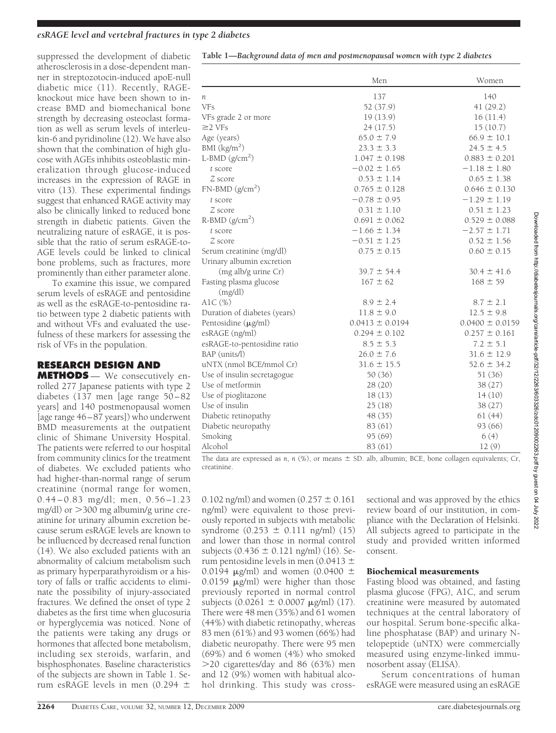#### *esRAGE level and vertebral fractures in type 2 diabetes*

suppressed the development of diabetic atherosclerosis in a dose-dependent manner in streptozotocin-induced apoE-null diabetic mice (11). Recently, RAGEknockout mice have been shown to increase BMD and biomechanical bone strength by decreasing osteoclast formation as well as serum levels of interleukin-6 and pyridinoline (12). We have also shown that the combination of high glucose with AGEs inhibits osteoblastic mineralization through glucose-induced increases in the expression of RAGE in vitro (13). These experimental findings suggest that enhanced RAGE activity may also be clinically linked to reduced bone strength in diabetic patients. Given the neutralizing nature of esRAGE, it is possible that the ratio of serum esRAGE-to-AGE levels could be linked to clinical bone problems, such as fractures, more prominently than either parameter alone.

To examine this issue, we compared serum levels of esRAGE and pentosidine as well as the esRAGE-to-pentosidine ratio between type 2 diabetic patients with and without VFs and evaluated the usefulness of these markers for assessing the risk of VFs in the population.

## **RESEARCH DESIGN AND**

**METHODS** — We consecutively enrolled 277 Japanese patients with type 2 diabetes (137 men [age range 50–82 years] and 140 postmenopausal women [age range 46–87 years]) who underwent BMD measurements at the outpatient clinic of Shimane University Hospital. The patients were referred to our hospital from community clinics for the treatment of diabetes. We excluded patients who had higher-than-normal range of serum creatinine (normal range for women, 0.44–0.83 mg/dl; men, 0.56–1.23 mg/dl) or  $>$ 300 mg albumin/g urine creatinine for urinary albumin excretion because serum esRAGE levels are known to be influenced by decreased renal function (14). We also excluded patients with an abnormality of calcium metabolism such as primary hyperparathyroidism or a history of falls or traffic accidents to eliminate the possibility of injury-associated fractures. We defined the onset of type 2 diabetes as the first time when glucosuria or hyperglycemia was noticed. None of the patients were taking any drugs or hormones that affected bone metabolism, including sex steroids, warfarin, and bisphosphonates. Baseline characteristics of the subjects are shown in Table 1. Serum esRAGE levels in men (0.294  $\pm$ 

| Table 1-Background data of men and postmenopausal women with type 2 diabetes |  |  |
|------------------------------------------------------------------------------|--|--|
|                                                                              |  |  |

|                              | Men                 | Women               |  |
|------------------------------|---------------------|---------------------|--|
| п                            | 137                 | 140                 |  |
| <b>VFs</b>                   | 52 (37.9)           | 41(29.2)            |  |
| VFs grade 2 or more          | 19(13.9)            | 16(11.4)            |  |
| $\geq$ 2 VFs                 | 24(17.5)            | 15(10.7)            |  |
| Age (years)                  | $65.0 \pm 7.9$      | $66.9 \pm 10.1$     |  |
| BMI $(kg/m2)$                | $23.3 \pm 3.3$      | $24.5 \pm 4.5$      |  |
| L-BMD $(g/cm2)$              | $1.047 \pm 0.198$   | $0.883 \pm 0.201$   |  |
| t score                      | $-0.02 \pm 1.65$    | $-1.18 \pm 1.80$    |  |
| Z score                      | $0.53 \pm 1.14$     | $0.65 \pm 1.38$     |  |
| $FN-BMD (g/cm2)$             | $0.765 \pm 0.128$   | $0.646 \pm 0.130$   |  |
| t score                      | $-0.78 \pm 0.95$    | $-1.29 \pm 1.19$    |  |
| Z score                      | $0.31 \pm 1.10$     | $0.51 \pm 1.23$     |  |
| $R-BMD (g/cm2)$              | $0.691 \pm 0.062$   | $0.529 \pm 0.088$   |  |
| t score                      | $-1.66 \pm 1.34$    | $-2.57 \pm 1.71$    |  |
| Z score                      | $-0.51 \pm 1.25$    | $0.52 \pm 1.56$     |  |
| Serum creatinine (mg/dl)     | $0.75 \pm 0.15$     | $0.60 \pm 0.15$     |  |
| Urinary albumin excretion    |                     |                     |  |
| (mg alb/g urine Cr)          | $39.7 \pm 54.4$     | $30.4 \pm 41.6$     |  |
| Fasting plasma glucose       | $167 \pm 62$        | $168 \pm 59$        |  |
| (mg/dl)                      |                     |                     |  |
| A1C (%)                      | $8.9 \pm 2.4$       | $8.7 \pm 2.1$       |  |
| Duration of diabetes (years) | $11.8 \pm 9.0$      | $12.5 \pm 9.8$      |  |
| Pentosidine (µg/ml)          | $0.0413 \pm 0.0194$ | $0.0400 \pm 0.0159$ |  |
| esRAGE (ng/ml)               | $0.294 \pm 0.102$   | $0.257 \pm 0.161$   |  |
| esRAGE-to-pentosidine ratio  | $8.5 \pm 5.3$       | $7.2 \pm 5.1$       |  |
| BAP (units/l)                | $26.0 \pm 7.6$      | $31.6 \pm 12.9$     |  |
| uNTX (nmol BCE/mmol Cr)      | $31.6 \pm 15.5$     | $52.6 \pm 34.2$     |  |
| Use of insulin secretagogue  | 50 (36)             | 51 (36)             |  |
| Use of metformin             | 28(20)              | 38(27)              |  |
| Use of pioglitazone          | 18(13)              | 14(10)              |  |
| Use of insulin               | 25(18)              | 38(27)              |  |
| Diabetic retinopathy         | 48 (35)             | 61(44)              |  |
| Diabetic neuropathy          | 83 (61)             | 93(66)              |  |
| Smoking                      | 95 (69)             | 6(4)                |  |
| Alcohol                      | 83 (61)             | 12(9)               |  |

The data are expressed as *n*, *n* (%), or means  $\pm$  SD. alb, albumin; BCE, bone collagen equivalents; Cr, creatinine.

0.102 ng/ml) and women  $(0.257 \pm 0.161)$ ng/ml) were equivalent to those previously reported in subjects with metabolic syndrome  $(0.253 \pm 0.111 \text{ ng/ml})$   $(15)$ and lower than those in normal control subjects (0.436 ± 0.121 ng/ml) (16). Serum pentosidine levels in men (0.0413  $\pm$ 0.0194  $\mu$ g/ml) and women (0.0400  $\pm$  $0.0159$   $\mu$ g/ml) were higher than those previously reported in normal control subjects  $(0.0261 \pm 0.0007 \text{ µg/ml})$  (17). There were 48 men (35%) and 61 women (44%) with diabetic retinopathy, whereas 83 men (61%) and 93 women (66%) had diabetic neuropathy. There were 95 men (69%) and 6 women (4%) who smoked 20 cigarettes/day and 86 (63%) men and 12 (9%) women with habitual alcohol drinking. This study was cross-

sectional and was approved by the ethics review board of our institution, in compliance with the Declaration of Helsinki. All subjects agreed to participate in the study and provided written informed consent.

#### Biochemical measurements

Fasting blood was obtained, and fasting plasma glucose (FPG), A1C, and serum creatinine were measured by automated techniques at the central laboratory of our hospital. Serum bone-specific alkaline phosphatase (BAP) and urinary Ntelopeptide (uNTX) were commercially measured using enzyme-linked immunosorbent assay (ELISA).

Serum concentrations of human esRAGE were measured using an esRAGE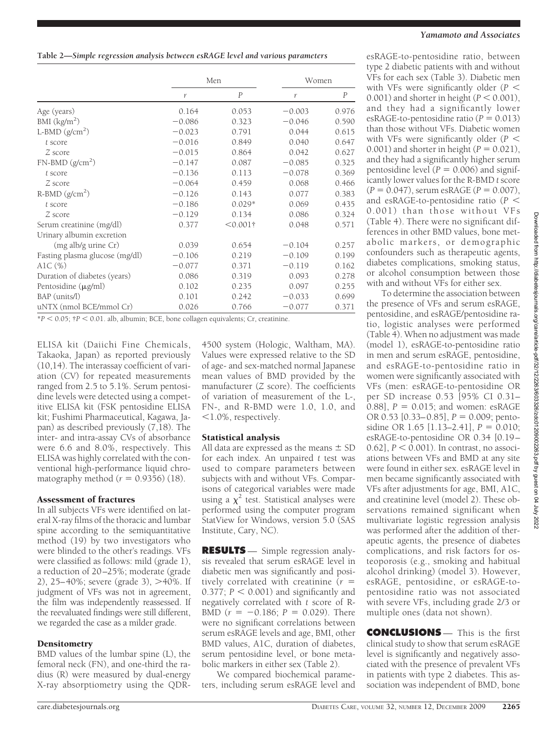|                                | Men      |                | Women    |       |  |
|--------------------------------|----------|----------------|----------|-------|--|
|                                | r        | $\overline{P}$ | r        | P     |  |
| Age (years)                    | 0.164    | 0.053          | $-0.003$ | 0.976 |  |
| BMI $(kg/m2)$                  | $-0.086$ | 0.323          | $-0.046$ | 0.590 |  |
| L-BMD $(g/cm2)$                | $-0.023$ | 0.791          | 0.044    | 0.615 |  |
| t score                        | $-0.016$ | 0.849          | 0.040    | 0.647 |  |
| Z score                        | $-0.015$ | 0.864          | 0.042    | 0.627 |  |
| $FN-BMD(g/cm2)$                | $-0.147$ | 0.087          | $-0.085$ | 0.325 |  |
| t score                        | $-0.136$ | 0.113          | $-0.078$ | 0.369 |  |
| Z score                        | $-0.064$ | 0.459          | 0.068    | 0.466 |  |
| $R-BMD (g/cm2)$                | $-0.126$ | 0.143          | 0.077    | 0.383 |  |
| t score                        | $-0.186$ | $0.029*$       | 0.069    | 0.435 |  |
| Z score                        | $-0.129$ | 0.134          | 0.086    | 0.324 |  |
| Serum creatinine (mg/dl)       | 0.377    | $< 0.001$ †    | 0.048    | 0.571 |  |
| Urinary albumin excretion      |          |                |          |       |  |
| (mg alb/g urine Cr)            | 0.039    | 0.654          | $-0.104$ | 0.257 |  |
| Fasting plasma glucose (mg/dl) | $-0.106$ | 0.219          | $-0.109$ | 0.199 |  |
| Alc $(\%)$                     | $-0.077$ | 0.371          | $-0.119$ | 0.162 |  |
| Duration of diabetes (years)   | 0.086    | 0.319          | 0.093    | 0.278 |  |
| Pentosidine $(\mu g/ml)$       | 0.102    | 0.235          | 0.097    | 0.255 |  |
| BAP (units/l)                  | 0.101    | 0.242          | $-0.033$ | 0.699 |  |
| uNTX (nmol BCE/mmol Cr)        | 0.026    | 0.766          | $-0.077$ | 0.371 |  |

\**P* 0.05; †*P* 0.01. alb, albumin; BCE, bone collagen equivalents; Cr, creatinine.

ELISA kit (Daiichi Fine Chemicals, Takaoka, Japan) as reported previously (10,14). The interassay coefficient of variation (CV) for repeated measurements ranged from 2.5 to 5.1%. Serum pentosidine levels were detected using a competitive ELISA kit (FSK pentosidine ELISA kit; Fushimi Pharmaceutical, Kagawa, Japan) as described previously (7,18). The inter- and intra-assay CVs of absorbance were 6.6 and 8.0%, respectively. This ELISA was highly correlated with the conventional high-performance liquid chromatography method  $(r = 0.9356)$  (18).

#### Assessment of fractures

In all subjects VFs were identified on lateral X-ray films of the thoracic and lumbar spine according to the semiquantitative method (19) by two investigators who were blinded to the other's readings. VFs were classified as follows: mild (grade 1), a reduction of 20–25%; moderate (grade 2),  $25-40\%$ ; severe (grade 3),  $>40\%$ . If judgment of VFs was not in agreement, the film was independently reassessed. If the reevaluated findings were still different, we regarded the case as a milder grade.

#### **Densitometry**

BMD values of the lumbar spine (L), the femoral neck (FN), and one-third the radius (R) were measured by dual-energy X-ray absorptiometry using the QDR-

4500 system (Hologic, Waltham, MA). Values were expressed relative to the SD of age- and sex-matched normal Japanese mean values of BMD provided by the manufacturer (*Z* score). The coefficients of variation of measurement of the L-, FN-, and R-BMD were 1.0, 1.0, and 1.0%, respectively.

#### Statistical analysis

All data are expressed as the means  $\pm$  SD for each index. An unpaired *t* test was used to compare parameters between subjects with and without VFs. Comparisons of categorical variables were made using a  $\chi^2$  test. Statistical analyses were performed using the computer program StatView for Windows, version 5.0 (SAS Institute, Cary, NC).

**RESULTS** — Simple regression analysis revealed that serum esRAGE level in diabetic men was significantly and positively correlated with creatinine (*r*  $0.377$ ;  $P < 0.001$ ) and significantly and negatively correlated with *t* score of R-BMD  $(r = -0.186; P = 0.029)$ . There were no significant correlations between serum esRAGE levels and age, BMI, other BMD values, A1C, duration of diabetes, serum pentosidine level, or bone metabolic markers in either sex (Table 2).

We compared biochemical parameters, including serum esRAGE level and

### *Yamamoto and Associates*

esRAGE-to-pentosidine ratio, between type 2 diabetic patients with and without VFs for each sex (Table 3). Diabetic men with VFs were significantly older (*P* 0.001) and shorter in height ( $P < 0.001$ ), and they had a significantly lower esRAGE-to-pentosidine ratio ( $P = 0.013$ ) than those without VFs. Diabetic women with VFs were significantly older (*P* 0.001) and shorter in height  $(P = 0.021)$ , and they had a significantly higher serum pentosidine level  $(P = 0.006)$  and significantly lower values for the R-BMD *t* score  $(P = 0.047)$ , serum esRAGE  $(P = 0.007)$ , and esRAGE-to-pentosidine ratio (*P* 0.001) than those without VFs (Table 4). There were no significant differences in other BMD values, bone metabolic markers, or demographic confounders such as therapeutic agents, diabetes complications, smoking status, or alcohol consumption between those with and without VFs for either sex.

To determine the association between the presence of VFs and serum esRAGE, pentosidine, and esRAGE/pentosidine ratio, logistic analyses were performed (Table 4). When no adjustment was made (model 1), esRAGE-to-pentosidine ratio in men and serum esRAGE, pentosidine, and esRAGE-to-pentosidine ratio in women were significantly associated with VFs (men: esRAGE-to-pentosidine OR per SD increase 0.53 [95% CI 0.31– 0.88],  $P = 0.015$ ; and women: esRAGE OR 0.53 [0.33–0.85],  $P = 0.009$ ; pentosidine OR 1.65  $[1.13-2.41]$ ,  $P = 0.010$ ; esRAGE-to-pentosidine OR 0.34 [0.19–  $[0.62]$ ,  $P \leq 0.001$ ). In contrast, no associations between VFs and BMD at any site were found in either sex. esRAGE level in men became significantly associated with VFs after adjustments for age, BMI, A1C, and creatinine level (model 2). These observations remained significant when multivariate logistic regression analysis was performed after the addition of therapeutic agents, the presence of diabetes complications, and risk factors for osteoporosis (e.g., smoking and habitual alcohol drinking) (model 3). However, esRAGE, pentosidine, or esRAGE-topentosidine ratio was not associated with severe VFs, including grade 2/3 or multiple ones (data not shown).

**CONCLUSIONS** — This is the first clinical study to show that serum esRAGE level is significantly and negatively associated with the presence of prevalent VFs in patients with type 2 diabetes. This association was independent of BMD, bone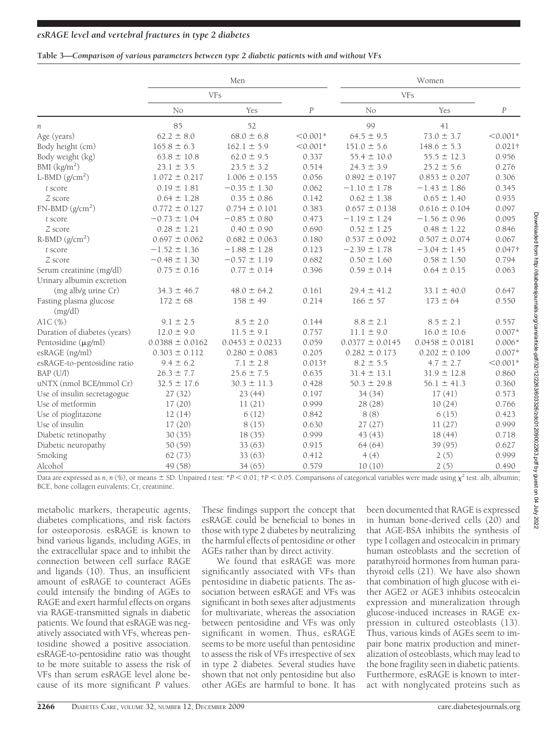### **Table 3—***Comparison of various parameters between type 2 diabetic patients with and without VFs*

|                              | Men                 |                     |                  | Women               |                     |                |  |
|------------------------------|---------------------|---------------------|------------------|---------------------|---------------------|----------------|--|
|                              | <b>VFs</b>          |                     |                  | <b>VFs</b>          |                     |                |  |
|                              | No                  | Yes                 | $\boldsymbol{P}$ | No                  | Yes                 | $\cal P$       |  |
| n                            | 85                  | 52                  |                  | 99                  | 41                  |                |  |
| Age (years)                  | $62.2 \pm 8.0$      | $68.0 \pm 6.8$      | $< 0.001*$       | $64.5 \pm 9.5$      | $73.0 \pm 3.7$      | $< 0.001*$     |  |
| Body height (cm)             | $165.8 \pm 6.3$     | $162.1 \pm 5.9$     | $< 0.001*$       | $151.0 \pm 5.6$     | $148.6 \pm 5.3$     | $0.021\dagger$ |  |
| Body weight (kg)             | $63.8 \pm 10.8$     | $62.0 \pm 9.5$      | 0.337            | $55.4 \pm 10.0$     | $55.5 \pm 12.3$     | 0.956          |  |
| BMI $(kg/m2)$                | $23.1 \pm 3.5$      | $23.5 \pm 3.2$      | 0.514            | $24.3 \pm 3.9$      | $25.2 \pm 5.6$      | 0.276          |  |
| L-BMD $(g/cm2)$              | $1.072 \pm 0.217$   | $1.006 \pm 0.155$   | 0.056            | $0.892 \pm 0.197$   | $0.853 \pm 0.207$   | 0.306          |  |
| t score                      | $0.19 \pm 1.81$     | $-0.35 \pm 1.30$    | 0.062            | $-1.10 \pm 1.78$    | $-1.43 \pm 1.86$    | 0.345          |  |
| Z score                      | $0.64 \pm 1.28$     | $0.35 \pm 0.86$     | 0.142            | $0.62 \pm 1.38$     | $0.65 \pm 1.40$     | 0.935          |  |
| $FN-BMD (g/cm2)$             | $0.772 \pm 0.127$   | $0.754 \pm 0.101$   | 0.383            | $0.657 \pm 0.138$   | $0.616 \pm 0.104$   | 0.097          |  |
| t score                      | $-0.73 \pm 1.04$    | $-0.85 \pm 0.80$    | 0.473            | $-1.19 \pm 1.24$    | $-1.56 \pm 0.96$    | 0.095          |  |
| Z score                      | $0.28 \pm 1.21$     | $0.40 \pm 0.90$     | 0.690            | $0.52 \pm 1.25$     | $0.48 \pm 1.22$     | 0.846          |  |
| $R-BMD (g/cm2)$              | $0.697 \pm 0.062$   | $0.682 \pm 0.063$   | 0.180            | $0.537 \pm 0.092$   | $0.507 \pm 0.074$   | 0.067          |  |
| t score                      | $-1.52 \pm 1.36$    | $-1.88 \pm 1.28$    | 0.123            | $-2.39 \pm 1.78$    | $-3.04 \pm 1.45$    | $0.047$ †      |  |
| Z score                      | $-0.48 \pm 1.30$    | $-0.57 \pm 1.19$    | 0.682            | $0.50 \pm 1.60$     | $0.58 \pm 1.50$     | 0.794          |  |
| Serum creatinine (mg/dl)     | $0.75 \pm 0.16$     | $0.77 \pm 0.14$     | 0.396            | $0.59 \pm 0.14$     | $0.64 \pm 0.15$     | 0.063          |  |
| Urinary albumin excretion    |                     |                     |                  |                     |                     |                |  |
| (mg alb/g urine Cr)          | $34.3 \pm 46.7$     | $48.0 \pm 64.2$     | 0.161            | $29.4 \pm 41.2$     | $33.1 \pm 40.0$     | 0.647          |  |
| Fasting plasma glucose       | $172 \pm 68$        | $158 \pm 49$        | 0.214            | $166 \pm 57$        | $173 \pm 64$        | 0.550          |  |
| (mg/dl)                      |                     |                     |                  |                     |                     |                |  |
| A1C(%)                       | $9.1 \pm 2.5$       | $8.5 \pm 2.0$       | 0.144            | $8.8 \pm 2.1$       | $8.5 \pm 2.1$       | 0.557          |  |
| Duration of diabetes (years) | $12.0 \pm 9.0$      | $11.5 \pm 9.1$      | 0.757            | $11.1 \pm 9.0$      | $16.0 \pm 10.6$     | $0.007*$       |  |
| Pentosidine (µg/ml)          | $0.0388 \pm 0.0162$ | $0.0453 \pm 0.0233$ | 0.059            | $0.0377 \pm 0.0145$ | $0.0458 \pm 0.0181$ | $0.006*$       |  |
| esRAGE (ng/ml)               | $0.303 \pm 0.112$   | $0.280 \pm 0.083$   | 0.205            | $0.282 \pm 0.173$   | $0.202 \pm 0.109$   | $0.007*$       |  |
| esRAGE-to-pentosidine ratio  | $9.4 \pm 6.2$       | $7.1 \pm 2.8$       | $0.013\dagger$   | $8.2 \pm 5.5$       | $4.7 \pm 2.7$       | $< 0.001*$     |  |
| BAP (U/l)                    | $26.3 \pm 7.7$      | $25.6 \pm 7.5$      | 0.635            | $31.4 \pm 13.1$     | $31.9 \pm 12.8$     | 0.860          |  |
| uNTX (nmol BCE/mmol Cr)      | $32.5 \pm 17.6$     | $30.3 \pm 11.3$     | 0.428            | $50.3 \pm 29.8$     | $56.1 \pm 41.3$     | 0.360          |  |
| Use of insulin secretagogue  | 27(32)              | 23(44)              | 0.197            | 34 (34)             | 17(41)              | 0.573          |  |
| Use of metformin             | 17(20)              | 11(21)              | 0.999            | 28(28)              | 10(24)              | 0.766          |  |
| Use of pioglitazone          | 12(14)              | 6(12)               | 0.842            | 8(8)                | 6(15)               | 0.423          |  |
| Use of insulin               | 17(20)              | 8(15)               | 0.630            | 27(27)              | 11(27)              | 0.999          |  |
| Diabetic retinopathy         | 30(35)              | 18(35)              | 0.999            | 43(43)              | 18(44)              | 0.718          |  |
| Diabetic neuropathy          | 50 (59)             | 33(63)              | 0.915            | 64(64)              | 39 (95)             | 0.627          |  |
| Smoking                      | 62(73)              | 33(63)              | 0.412            | 4(4)                | 2(5)                | 0.999          |  |
| Alcohol                      | 49 (58)             | 34(65)              | 0.579            | 10(10)              | 2(5)                | 0.490          |  |

Data are expressed as *n*, *n* (%), or means  $\pm$  SD. Unpaired *t* test: \**P* < 0.01;  $\pm$  < 0.05. Comparisons of categorical variables were made using  $\chi^2$  test. alb, albumin;

BCE, bone collagen euivalents; Cr, creatinine.

metabolic markers, therapeutic agents, diabetes complications, and risk factors for osteoporosis. esRAGE is known to bind various ligands, including AGEs, in the extracellular space and to inhibit the connection between cell surface RAGE and ligands (10). Thus, an insufficient amount of esRAGE to counteract AGEs could intensify the binding of AGEs to RAGE and exert harmful effects on organs via RAGE-transmitted signals in diabetic patients. We found that esRAGE was negatively associated with VFs, whereas pentosidine showed a positive association. esRAGE-to-pentosidine ratio was thought to be more suitable to assess the risk of VFs than serum esRAGE level alone because of its more significant *P* values.

These findings support the concept that esRAGE could be beneficial to bones in those with type 2 diabetes by neutralizing the harmful effects of pentosidine or other AGEs rather than by direct activity.

We found that esRAGE was more significantly associated with VFs than pentosidine in diabetic patients. The association between esRAGE and VFs was significant in both sexes after adjustments for multivariate, whereas the association between pentosidine and VFs was only significant in women. Thus, esRAGE seems to be more useful than pentosidine to assess the risk of VFs irrespective of sex in type 2 diabetes. Several studies have shown that not only pentosidine but also other AGEs are harmful to bone. It has

been documented that RAGE is expressed in human bone-derived cells (20) and that AGE-BSA inhibits the synthesis of type I collagen and osteocalcin in primary human osteoblasts and the secretion of parathyroid hormones from human parathyroid cells (21). We have also shown that combination of high glucose with either AGE2 or AGE3 inhibits osteocalcin expression and mineralization through glucose-induced increases in RAGE expression in cultured osteoblasts (13). Thus, various kinds of AGEs seem to impair bone matrix production and mineralization of osteoblasts, which may lead to the bone fragility seen in diabetic patients. Furthermore, esRAGE is known to interact with nonglycated proteins such as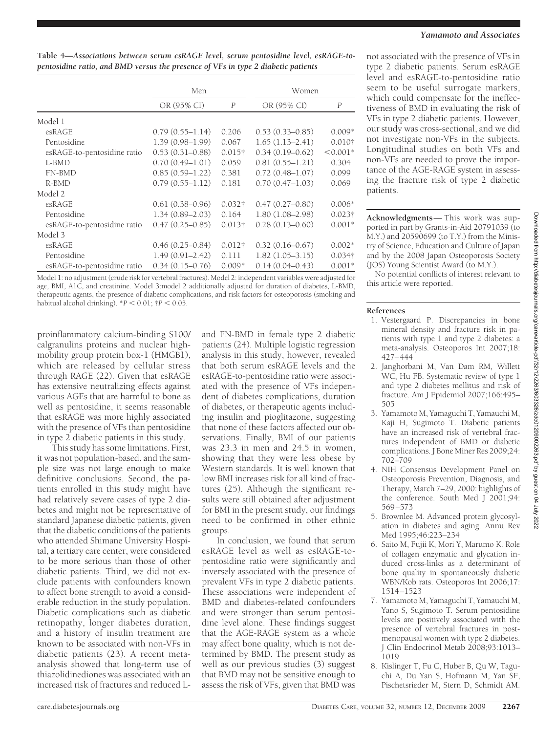## *Yamamoto and Associates*

| Table 4—Associations between serum esRAGE level, serum pentosidine level, esRAGE-to- |  |
|--------------------------------------------------------------------------------------|--|
| pentosidine ratio, and BMD versus the presence of VFs in type 2 diabetic patients    |  |

|                             | Men                 |                | Women               |                  |  |
|-----------------------------|---------------------|----------------|---------------------|------------------|--|
|                             | OR (95% CI)         | $\overline{P}$ | OR (95% CI)         | $\boldsymbol{P}$ |  |
| Model 1                     |                     |                |                     |                  |  |
| esRAGE                      | $0.79(0.55 - 1.14)$ | 0.206          | $0.53(0.33 - 0.85)$ | $0.009*$         |  |
| Pentosidine                 | $1.39(0.98 - 1.99)$ | 0.067          | $1.65(1.13 - 2.41)$ | $0.010\dagger$   |  |
| esRAGE-to-pentosidine ratio | $0.53(0.31 - 0.88)$ | $0.015\dagger$ | $0.34(0.19 - 0.62)$ | $< 0.001*$       |  |
| L-BMD                       | $0.70(0.49 - 1.01)$ | 0.059          | $0.81(0.55 - 1.21)$ | 0.304            |  |
| FN-BMD                      | $0.85(0.59-1.22)$   | 0.381          | $0.72(0.48 - 1.07)$ | 0.099            |  |
| $R-BMD$                     | $0.79(0.55 - 1.12)$ | 0.181          | $0.70(0.47 - 1.03)$ | 0.069            |  |
| Model 2                     |                     |                |                     |                  |  |
| esRAGE                      | $0.61(0.38 - 0.96)$ | $0.032\dagger$ | $0.47(0.27 - 0.80)$ | $0.006*$         |  |
| Pentosidine                 | $1.34(0.89 - 2.03)$ | 0.164          | $1.80(1.08 - 2.98)$ | $0.023\dagger$   |  |
| esRAGE-to-pentosidine ratio | $0.47(0.25 - 0.85)$ | $0.013\dagger$ | $0.28(0.13 - 0.60)$ | $0.001*$         |  |
| Model 3                     |                     |                |                     |                  |  |
| esRAGE                      | $0.46(0.25 - 0.84)$ | $0.012\dagger$ | $0.32(0.16 - 0.67)$ | $0.002*$         |  |
| Pentosidine                 | $1.49(0.91 - 2.42)$ | 0.111          | $1.82(1.05-3.15)$   | $0.034\dagger$   |  |
| esRAGE-to-pentosidine ratio | $0.34(0.15-0.76)$   | $0.009*$       | $0.14(0.04 - 0.43)$ | $0.001*$         |  |

Model 1: no adjustment (crude risk for vertebral fractures). Model 2: independent variables were adjusted for age, BMI, A1C, and creatinine. Model 3:model 2 additionally adjusted for duration of diabetes, L-BMD, therapeutic agents, the presence of diabetic complications, and risk factors for osteoporosis (smoking and habitual alcohol drinking).  $P < 0.01$ ;  $P < 0.05$ .

proinflammatory calcium-binding S100/ calgranulins proteins and nuclear highmobility group protein box-1 (HMGB1), which are released by cellular stress through RAGE (22). Given that esRAGE has extensive neutralizing effects against various AGEs that are harmful to bone as well as pentosidine, it seems reasonable that esRAGE was more highly associated with the presence of VFs than pentosidine in type 2 diabetic patients in this study.

This study has some limitations. First, it was not population-based, and the sample size was not large enough to make definitive conclusions. Second, the patients enrolled in this study might have had relatively severe cases of type 2 diabetes and might not be representative of standard Japanese diabetic patients, given that the diabetic conditions of the patients who attended Shimane University Hospital, a tertiary care center, were considered to be more serious than those of other diabetic patients. Third, we did not exclude patients with confounders known to affect bone strength to avoid a considerable reduction in the study population. Diabetic complications such as diabetic retinopathy, longer diabetes duration, and a history of insulin treatment are known to be associated with non-VFs in diabetic patients (23). A recent metaanalysis showed that long-term use of thiazolidinediones was associated with an increased risk of fractures and reduced L-

and FN-BMD in female type 2 diabetic patients (24). Multiple logistic regression analysis in this study, however, revealed that both serum esRAGE levels and the esRAGE-to-pentosidine ratio were associated with the presence of VFs independent of diabetes complications, duration of diabetes, or therapeutic agents including insulin and pioglitazone, suggesting that none of these factors affected our observations. Finally, BMI of our patients was 23.3 in men and 24.5 in women, showing that they were less obese by Western standards. It is well known that low BMI increases risk for all kind of fractures (25). Although the significant results were still obtained after adjustment for BMI in the present study, our findings need to be confirmed in other ethnic groups.

In conclusion, we found that serum esRAGE level as well as esRAGE-topentosidine ratio were significantly and inversely associated with the presence of prevalent VFs in type 2 diabetic patients. These associations were independent of BMD and diabetes-related confounders and were stronger than serum pentosidine level alone. These findings suggest that the AGE-RAGE system as a whole may affect bone quality, which is not determined by BMD. The present study as well as our previous studies (3) suggest that BMD may not be sensitive enough to assess the risk of VFs, given that BMD was

not associated with the presence of VFs in type 2 diabetic patients. Serum esRAGE level and esRAGE-to-pentosidine ratio seem to be useful surrogate markers, which could compensate for the ineffectiveness of BMD in evaluating the risk of VFs in type 2 diabetic patients. However, our study was cross-sectional, and we did not investigate non-VFs in the subjects. Longitudinal studies on both VFs and non-VFs are needed to prove the importance of the AGE-RAGE system in assessing the fracture risk of type 2 diabetic patients.

**Acknowledgments**— This work was supported in part by Grants-in-Aid 20791039 (to M.Y.) and 20590699 (to T.Y.) from the Ministry of Science, Education and Culture of Japan and by the 2008 Japan Osteoporosis Society (JOS) Young Scientist Award (to M.Y.).

No potential conflicts of interest relevant to this article were reported.

### **References**

- 1. Vestergaard P. Discrepancies in bone mineral density and fracture risk in patients with type 1 and type 2 diabetes: a meta-analysis. Osteoporos Int 2007;18: 427–444
- 2. Janghorbani M, Van Dam RM, Willett WC, Hu FB. Systematic review of type 1 and type 2 diabetes mellitus and risk of fracture. Am J Epidemiol 2007;166:495– 505
- 3. Yamamoto M, Yamaguchi T, Yamauchi M, Kaji H, Sugimoto T. Diabetic patients have an increased risk of vertebral fractures independent of BMD or diabetic complications. J Bone Miner Res 2009;24: 702–709
- 4. NIH Consensus Development Panel on Osteoporosis Prevention, Diagnosis, and Therapy, March 7–29, 2000: highlights of the conference. South Med J 2001;94: 569–573
- 5. Brownlee M. Advanced protein glycosylation in diabetes and aging. Annu Rev Med 1995;46:223–234
- 6. Saito M, Fujii K, Mori Y, Marumo K. Role of collagen enzymatic and glycation induced cross-links as a determinant of bone quality in spontaneously diabetic WBN/Kob rats. Osteoporos Int 2006;17: 1514–1523
- 7. Yamamoto M, Yamaguchi T, Yamauchi M, Yano S, Sugimoto T. Serum pentosidine levels are positively associated with the presence of vertebral fractures in postmenopausal women with type 2 diabetes. J Clin Endocrinol Metab 2008;93:1013– 1019
- 8. Kislinger T, Fu C, Huber B, Qu W, Taguchi A, Du Yan S, Hofmann M, Yan SF, Pischetsrieder M, Stern D, Schmidt AM.